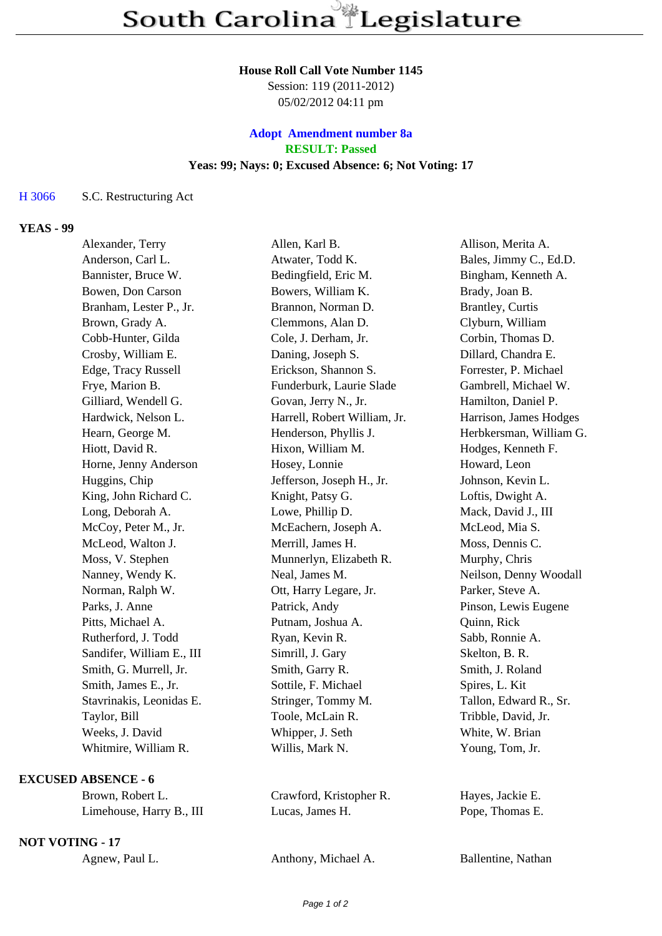#### **House Roll Call Vote Number 1145**

Session: 119 (2011-2012) 05/02/2012 04:11 pm

# **Adopt Amendment number 8a RESULT: Passed Yeas: 99; Nays: 0; Excused Absence: 6; Not Voting: 17**

### H 3066 S.C. Restructuring Act

## **YEAS - 99**

| Alexander, Terry          | Allen, Karl B.               | Allison, Merita A.      |
|---------------------------|------------------------------|-------------------------|
| Anderson, Carl L.         | Atwater, Todd K.             | Bales, Jimmy C., Ed.D.  |
| Bannister, Bruce W.       | Bedingfield, Eric M.         | Bingham, Kenneth A.     |
| Bowen, Don Carson         | Bowers, William K.           | Brady, Joan B.          |
| Branham, Lester P., Jr.   | Brannon, Norman D.           | <b>Brantley, Curtis</b> |
| Brown, Grady A.           | Clemmons, Alan D.            | Clyburn, William        |
| Cobb-Hunter, Gilda        | Cole, J. Derham, Jr.         | Corbin, Thomas D.       |
| Crosby, William E.        | Daning, Joseph S.            | Dillard, Chandra E.     |
| Edge, Tracy Russell       | Erickson, Shannon S.         | Forrester, P. Michael   |
| Frye, Marion B.           | Funderburk, Laurie Slade     | Gambrell, Michael W.    |
| Gilliard, Wendell G.      | Govan, Jerry N., Jr.         | Hamilton, Daniel P.     |
| Hardwick, Nelson L.       | Harrell, Robert William, Jr. | Harrison, James Hodges  |
| Hearn, George M.          | Henderson, Phyllis J.        | Herbkersman, William G. |
| Hiott, David R.           | Hixon, William M.            | Hodges, Kenneth F.      |
| Horne, Jenny Anderson     | Hosey, Lonnie                | Howard, Leon            |
| Huggins, Chip             | Jefferson, Joseph H., Jr.    | Johnson, Kevin L.       |
| King, John Richard C.     | Knight, Patsy G.             | Loftis, Dwight A.       |
| Long, Deborah A.          | Lowe, Phillip D.             | Mack, David J., III     |
| McCoy, Peter M., Jr.      | McEachern, Joseph A.         | McLeod, Mia S.          |
| McLeod, Walton J.         | Merrill, James H.            | Moss, Dennis C.         |
| Moss, V. Stephen          | Munnerlyn, Elizabeth R.      | Murphy, Chris           |
| Nanney, Wendy K.          | Neal, James M.               | Neilson, Denny Woodall  |
| Norman, Ralph W.          | Ott, Harry Legare, Jr.       | Parker, Steve A.        |
| Parks, J. Anne            | Patrick, Andy                | Pinson, Lewis Eugene    |
| Pitts, Michael A.         | Putnam, Joshua A.            | Quinn, Rick             |
| Rutherford, J. Todd       | Ryan, Kevin R.               | Sabb, Ronnie A.         |
| Sandifer, William E., III | Simrill, J. Gary             | Skelton, B. R.          |
| Smith, G. Murrell, Jr.    | Smith, Garry R.              | Smith, J. Roland        |
| Smith, James E., Jr.      | Sottile, F. Michael          | Spires, L. Kit          |
| Stavrinakis, Leonidas E.  | Stringer, Tommy M.           | Tallon, Edward R., Sr.  |
| Taylor, Bill              | Toole, McLain R.             | Tribble, David, Jr.     |
| Weeks, J. David           | Whipper, J. Seth             | White, W. Brian         |
| Whitmire, William R.      | Willis, Mark N.              | Young, Tom, Jr.         |
|                           |                              |                         |

# **EXCUSED ABSENCE - 6**

Limehouse, Harry B., III Lucas, James H. Pope, Thomas E.

## **NOT VOTING - 17**

Brown, Robert L. Crawford, Kristopher R. Hayes, Jackie E.

Agnew, Paul L. Anthony, Michael A. Ballentine, Nathan